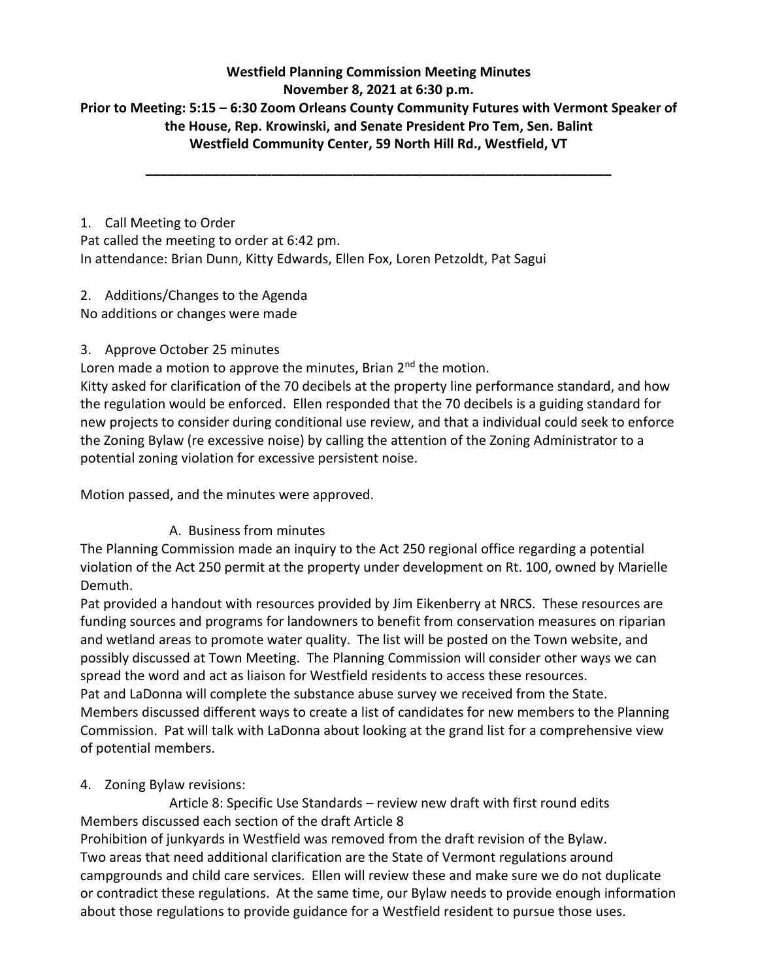#### **Westfield Planning Commission Meeting Minutes November 8, 2021 at 6:30 p.m. Prior to Meeting: 5:15 – 6:30 Zoom Orleans County Community Futures with Vermont Speaker of the House, Rep. Krowinski, and Senate President Pro Tem, Sen. Balint Westfield Community Center, 59 North Hill Rd., Westfield, VT**

**\_\_\_\_\_\_\_\_\_\_\_\_\_\_\_\_\_\_\_\_\_\_\_\_\_\_\_\_\_\_\_\_\_\_\_\_\_\_\_\_\_\_\_\_\_\_\_\_\_\_\_\_\_\_\_\_\_\_\_\_\_\_\_**

1. Call Meeting to Order Pat called the meeting to order at 6:42 pm. In attendance: Brian Dunn, Kitty Edwards, Ellen Fox, Loren Petzoldt, Pat Sagui

#### 2. Additions/Changes to the Agenda

No additions or changes were made

### 3. Approve October 25 minutes

Loren made a motion to approve the minutes, Brian  $2<sup>nd</sup>$  the motion.

Kitty asked for clarification of the 70 decibels at the property line performance standard, and how the regulation would be enforced. Ellen responded that the 70 decibels is a guiding standard for new projects to consider during conditional use review, and that a individual could seek to enforce the Zoning Bylaw (re excessive noise) by calling the attention of the Zoning Administrator to a potential zoning violation for excessive persistent noise.

Motion passed, and the minutes were approved.

### A. Business from minutes

The Planning Commission made an inquiry to the Act 250 regional office regarding a potential violation of the Act 250 permit at the property under development on Rt. 100, owned by Marielle Demuth.

Pat provided a handout with resources provided by Jim Eikenberry at NRCS. These resources are funding sources and programs for landowners to benefit from conservation measures on riparian and wetland areas to promote water quality. The list will be posted on the Town website, and possibly discussed at Town Meeting. The Planning Commission will consider other ways we can spread the word and act as liaison for Westfield residents to access these resources. Pat and LaDonna will complete the substance abuse survey we received from the State. Members discussed different ways to create a list of candidates for new members to the Planning Commission. Pat will talk with LaDonna about looking at the grand list for a comprehensive view of potential members.

### 4. Zoning Bylaw revisions:

Article 8: Specific Use Standards – review new draft with first round edits Members discussed each section of the draft Article 8

Prohibition of junkyards in Westfield was removed from the draft revision of the Bylaw. Two areas that need additional clarification are the State of Vermont regulations around campgrounds and child care services. Ellen will review these and make sure we do not duplicate or contradict these regulations. At the same time, our Bylaw needs to provide enough information about those regulations to provide guidance for a Westfield resident to pursue those uses.